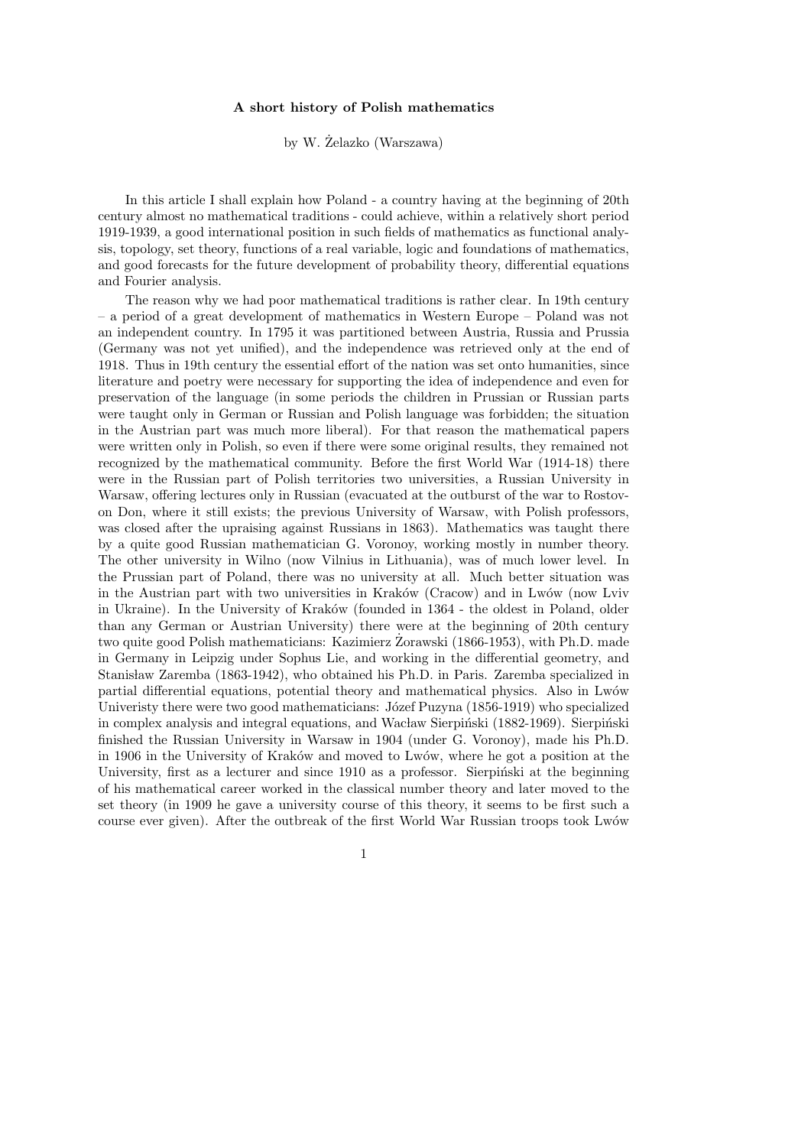## A short history of Polish mathematics

by W.  $\dot{Z}$ elazko (Warszawa)

In this article I shall explain how Poland - a country having at the beginning of 20th century almost no mathematical traditions - could achieve, within a relatively short period 1919-1939, a good international position in such fields of mathematics as functional analysis, topology, set theory, functions of a real variable, logic and foundations of mathematics, and good forecasts for the future development of probability theory, differential equations and Fourier analysis.

The reason why we had poor mathematical traditions is rather clear. In 19th century – a period of a great development of mathematics in Western Europe – Poland was not an independent country. In 1795 it was partitioned between Austria, Russia and Prussia (Germany was not yet unified), and the independence was retrieved only at the end of 1918. Thus in 19th century the essential effort of the nation was set onto humanities, since literature and poetry were necessary for supporting the idea of independence and even for preservation of the language (in some periods the children in Prussian or Russian parts were taught only in German or Russian and Polish language was forbidden; the situation in the Austrian part was much more liberal). For that reason the mathematical papers were written only in Polish, so even if there were some original results, they remained not recognized by the mathematical community. Before the first World War (1914-18) there were in the Russian part of Polish territories two universities, a Russian University in Warsaw, offering lectures only in Russian (evacuated at the outburst of the war to Rostovon Don, where it still exists; the previous University of Warsaw, with Polish professors, was closed after the upraising against Russians in 1863). Mathematics was taught there by a quite good Russian mathematician G. Voronoy, working mostly in number theory. The other university in Wilno (now Vilnius in Lithuania), was of much lower level. In the Prussian part of Poland, there was no university at all. Much better situation was in the Austrian part with two universities in Kraków (Cracow) and in Lwów (now Lviv in Ukraine). In the University of Kraków (founded in 1364 - the oldest in Poland, older than any German or Austrian University) there were at the beginning of 20th century two quite good Polish mathematicians: Kazimierz Zorawski (1866-1953), with Ph.D. made in Germany in Leipzig under Sophus Lie, and working in the differential geometry, and Stanisław Zaremba (1863-1942), who obtained his Ph.D. in Paris. Zaremba specialized in partial differential equations, potential theory and mathematical physics. Also in Lwów Univeristy there were two good mathematicians: Józef Puzyna (1856-1919) who specialized in complex analysis and integral equations, and Wacław Sierpiński (1882-1969). Sierpiński finished the Russian University in Warsaw in 1904 (under G. Voronoy), made his Ph.D. in 1906 in the University of Kraków and moved to Lwów, where he got a position at the University, first as a lecturer and since 1910 as a professor. Sierpiński at the beginning of his mathematical career worked in the classical number theory and later moved to the set theory (in 1909 he gave a university course of this theory, it seems to be first such a course ever given). After the outbreak of the first World War Russian troops took Lwów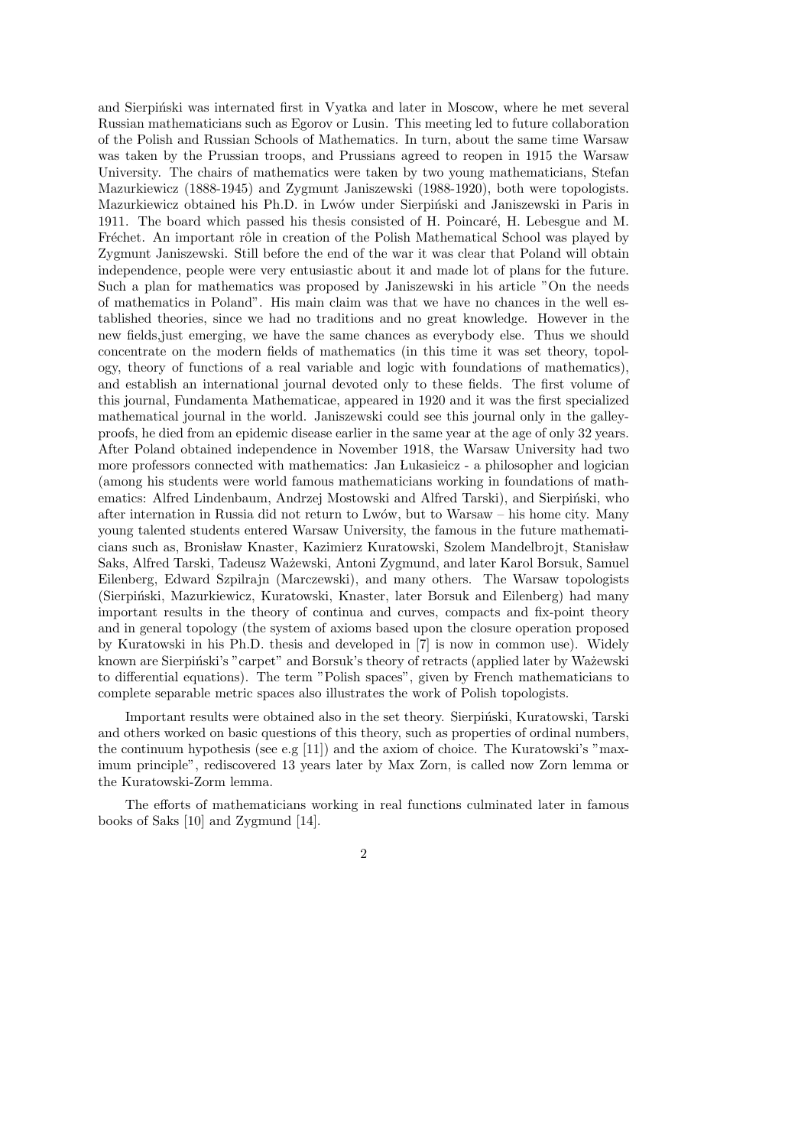and Sierpinski was internated first in Vyatka and later in Moscow, where he met several Russian mathematicians such as Egorov or Lusin. This meeting led to future collaboration of the Polish and Russian Schools of Mathematics. In turn, about the same time Warsaw was taken by the Prussian troops, and Prussians agreed to reopen in 1915 the Warsaw University. The chairs of mathematics were taken by two young mathematicians, Stefan Mazurkiewicz (1888-1945) and Zygmunt Janiszewski (1988-1920), both were topologists. Mazurkiewicz obtained his Ph.D. in Lwów under Sierpiński and Janiszewski in Paris in 1911. The board which passed his thesis consisted of H. Poincaré, H. Lebesgue and M. Fréchet. An important rôle in creation of the Polish Mathematical School was played by Zygmunt Janiszewski. Still before the end of the war it was clear that Poland will obtain independence, people were very entusiastic about it and made lot of plans for the future. Such a plan for mathematics was proposed by Janiszewski in his article "On the needs of mathematics in Poland". His main claim was that we have no chances in the well established theories, since we had no traditions and no great knowledge. However in the new fields,just emerging, we have the same chances as everybody else. Thus we should concentrate on the modern fields of mathematics (in this time it was set theory, topology, theory of functions of a real variable and logic with foundations of mathematics), and establish an international journal devoted only to these fields. The first volume of this journal, Fundamenta Mathematicae, appeared in 1920 and it was the first specialized mathematical journal in the world. Janiszewski could see this journal only in the galleyproofs, he died from an epidemic disease earlier in the same year at the age of only 32 years. After Poland obtained independence in November 1918, the Warsaw University had two more professors connected with mathematics: Jan Lukasieicz - a philosopher and logician (among his students were world famous mathematicians working in foundations of mathematics: Alfred Lindenbaum, Andrzej Mostowski and Alfred Tarski), and Sierpiński, who after internation in Russia did not return to Lwów, but to Warsaw – his home city. Many young talented students entered Warsaw University, the famous in the future mathematicians such as, Bronisław Knaster, Kazimierz Kuratowski, Szolem Mandelbrojt, Stanisław Saks, Alfred Tarski, Tadeusz Wa˙zewski, Antoni Zygmund, and later Karol Borsuk, Samuel Eilenberg, Edward Szpilrajn (Marczewski), and many others. The Warsaw topologists (Sierpiński, Mazurkiewicz, Kuratowski, Knaster, later Borsuk and Eilenberg) had many important results in the theory of continua and curves, compacts and fix-point theory and in general topology (the system of axioms based upon the closure operation proposed by Kuratowski in his Ph.D. thesis and developed in [7] is now in common use). Widely known are Sierpiński's "carpet" and Borsuk's theory of retracts (applied later by Ważewski to differential equations). The term "Polish spaces", given by French mathematicians to complete separable metric spaces also illustrates the work of Polish topologists.

Important results were obtained also in the set theory. Sierpiński, Kuratowski, Tarski and others worked on basic questions of this theory, such as properties of ordinal numbers, the continuum hypothesis (see e.g [11]) and the axiom of choice. The Kuratowski's "maximum principle", rediscovered 13 years later by Max Zorn, is called now Zorn lemma or the Kuratowski-Zorm lemma.

The efforts of mathematicians working in real functions culminated later in famous books of Saks [10] and Zygmund [14].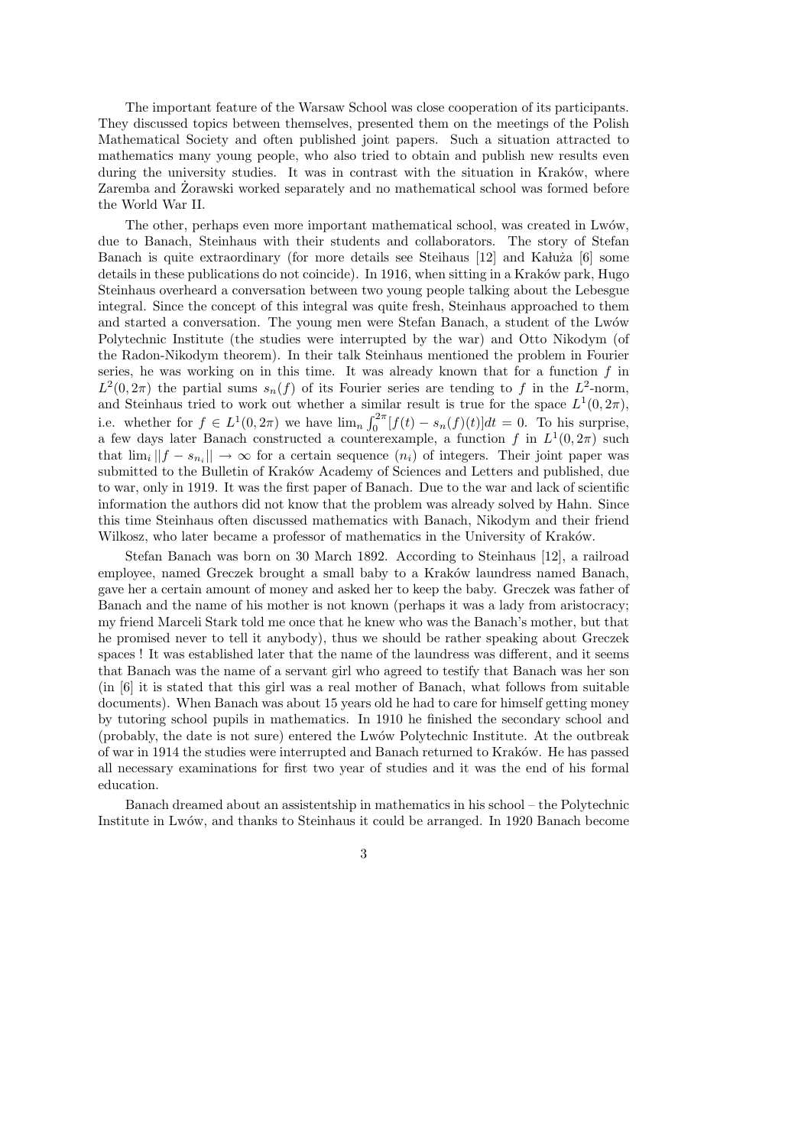The important feature of the Warsaw School was close cooperation of its participants. They discussed topics between themselves, presented them on the meetings of the Polish Mathematical Society and often published joint papers. Such a situation attracted to mathematics many young people, who also tried to obtain and publish new results even during the university studies. It was in contrast with the situation in Kraków, where Zaremba and Zorawski worked separately and no mathematical school was formed before the World War II.

The other, perhaps even more important mathematical school, was created in Lwów, due to Banach, Steinhaus with their students and collaborators. The story of Stefan Banach is quite extraordinary (for more details see Steihaus [12] and Kałuża [6] some details in these publications do not coincide). In 1916, when sitting in a Kraków park, Hugo Steinhaus overheard a conversation between two young people talking about the Lebesgue integral. Since the concept of this integral was quite fresh, Steinhaus approached to them and started a conversation. The young men were Stefan Banach, a student of the Lwów Polytechnic Institute (the studies were interrupted by the war) and Otto Nikodym (of the Radon-Nikodym theorem). In their talk Steinhaus mentioned the problem in Fourier series, he was working on in this time. It was already known that for a function  $f$  in  $L^2(0, 2\pi)$  the partial sums  $s_n(f)$  of its Fourier series are tending to f in the  $L^2$ -norm, and Steinhaus tried to work out whether a similar result is true for the space  $L^1(0, 2\pi)$ , i.e. whether for  $f \in L^1(0, 2\pi)$  we have  $\lim_n \int_0^{2\pi} [f(t) - s_n(f)(t)] dt = 0$ . To his surprise, a few days later Banach constructed a counterexample, a function f in  $L^1(0, 2\pi)$  such that  $\lim_{i} ||f - s_{n_i}|| \to \infty$  for a certain sequence  $(n_i)$  of integers. Their joint paper was submitted to the Bulletin of Kraków Academy of Sciences and Letters and published, due to war, only in 1919. It was the first paper of Banach. Due to the war and lack of scientific information the authors did not know that the problem was already solved by Hahn. Since this time Steinhaus often discussed mathematics with Banach, Nikodym and their friend Wilkosz, who later became a professor of mathematics in the University of Kraków.

Stefan Banach was born on 30 March 1892. According to Steinhaus [12], a railroad employee, named Greczek brought a small baby to a Kraków laundress named Banach, gave her a certain amount of money and asked her to keep the baby. Greczek was father of Banach and the name of his mother is not known (perhaps it was a lady from aristocracy; my friend Marceli Stark told me once that he knew who was the Banach's mother, but that he promised never to tell it anybody), thus we should be rather speaking about Greczek spaces ! It was established later that the name of the laundress was different, and it seems that Banach was the name of a servant girl who agreed to testify that Banach was her son (in [6] it is stated that this girl was a real mother of Banach, what follows from suitable documents). When Banach was about 15 years old he had to care for himself getting money by tutoring school pupils in mathematics. In 1910 he finished the secondary school and (probably, the date is not sure) entered the Lw´ow Polytechnic Institute. At the outbreak of war in 1914 the studies were interrupted and Banach returned to Kraków. He has passed all necessary examinations for first two year of studies and it was the end of his formal education.

Banach dreamed about an assistentship in mathematics in his school – the Polytechnic Institute in Lwów, and thanks to Steinhaus it could be arranged. In 1920 Banach become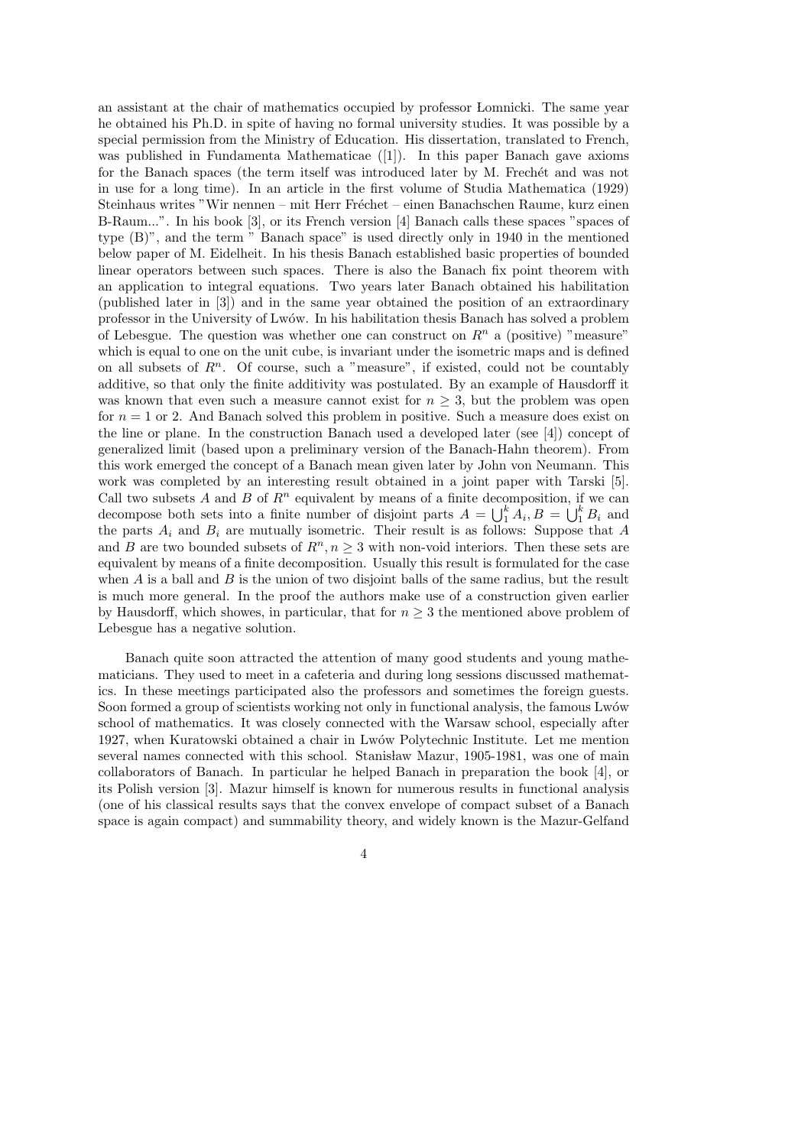an assistant at the chair of mathematics occupied by professor Lomnicki. The same year he obtained his Ph.D. in spite of having no formal university studies. It was possible by a special permission from the Ministry of Education. His dissertation, translated to French, was published in Fundamenta Mathematicae ([1]). In this paper Banach gave axioms for the Banach spaces (the term itself was introduced later by M. Frechet and was not in use for a long time). In an article in the first volume of Studia Mathematica (1929) Steinhaus writes "Wir nennen – mit Herr Fréchet – einen Banachschen Raume, kurz einen B-Raum...". In his book [3], or its French version [4] Banach calls these spaces "spaces of type (B)", and the term " Banach space" is used directly only in 1940 in the mentioned below paper of M. Eidelheit. In his thesis Banach established basic properties of bounded linear operators between such spaces. There is also the Banach fix point theorem with an application to integral equations. Two years later Banach obtained his habilitation (published later in [3]) and in the same year obtained the position of an extraordinary professor in the University of Lwów. In his habilitation thesis Banach has solved a problem of Lebesgue. The question was whether one can construct on  $R<sup>n</sup>$  a (positive) "measure" which is equal to one on the unit cube, is invariant under the isometric maps and is defined on all subsets of  $R<sup>n</sup>$ . Of course, such a "measure", if existed, could not be countably additive, so that only the finite additivity was postulated. By an example of Hausdorff it was known that even such a measure cannot exist for  $n \geq 3$ , but the problem was open for  $n = 1$  or 2. And Banach solved this problem in positive. Such a measure does exist on the line or plane. In the construction Banach used a developed later (see [4]) concept of generalized limit (based upon a preliminary version of the Banach-Hahn theorem). From this work emerged the concept of a Banach mean given later by John von Neumann. This work was completed by an interesting result obtained in a joint paper with Tarski [5]. Call two subsets  $A$  and  $B$  of  $\mathbb{R}^n$  equivalent by means of a finite decomposition, if we can decompose both sets into a finite number of disjoint parts  $A = \bigcup_{1}^{k} A_i$ ,  $B = \bigcup_{1}^{k} B_i$  and the parts  $A_i$  and  $B_i$  are mutually isometric. Their result is as follows: Suppose that A and B are two bounded subsets of  $R^n, n \geq 3$  with non-void interiors. Then these sets are equivalent by means of a finite decomposition. Usually this result is formulated for the case when  $A$  is a ball and  $B$  is the union of two disjoint balls of the same radius, but the result is much more general. In the proof the authors make use of a construction given earlier by Hausdorff, which showes, in particular, that for  $n \geq 3$  the mentioned above problem of Lebesgue has a negative solution.

Banach quite soon attracted the attention of many good students and young mathematicians. They used to meet in a cafeteria and during long sessions discussed mathematics. In these meetings participated also the professors and sometimes the foreign guests. Soon formed a group of scientists working not only in functional analysis, the famous Lwów school of mathematics. It was closely connected with the Warsaw school, especially after 1927, when Kuratowski obtained a chair in Lw´ow Polytechnic Institute. Let me mention several names connected with this school. Stanisław Mazur, 1905-1981, was one of main collaborators of Banach. In particular he helped Banach in preparation the book [4], or its Polish version [3]. Mazur himself is known for numerous results in functional analysis (one of his classical results says that the convex envelope of compact subset of a Banach space is again compact) and summability theory, and widely known is the Mazur-Gelfand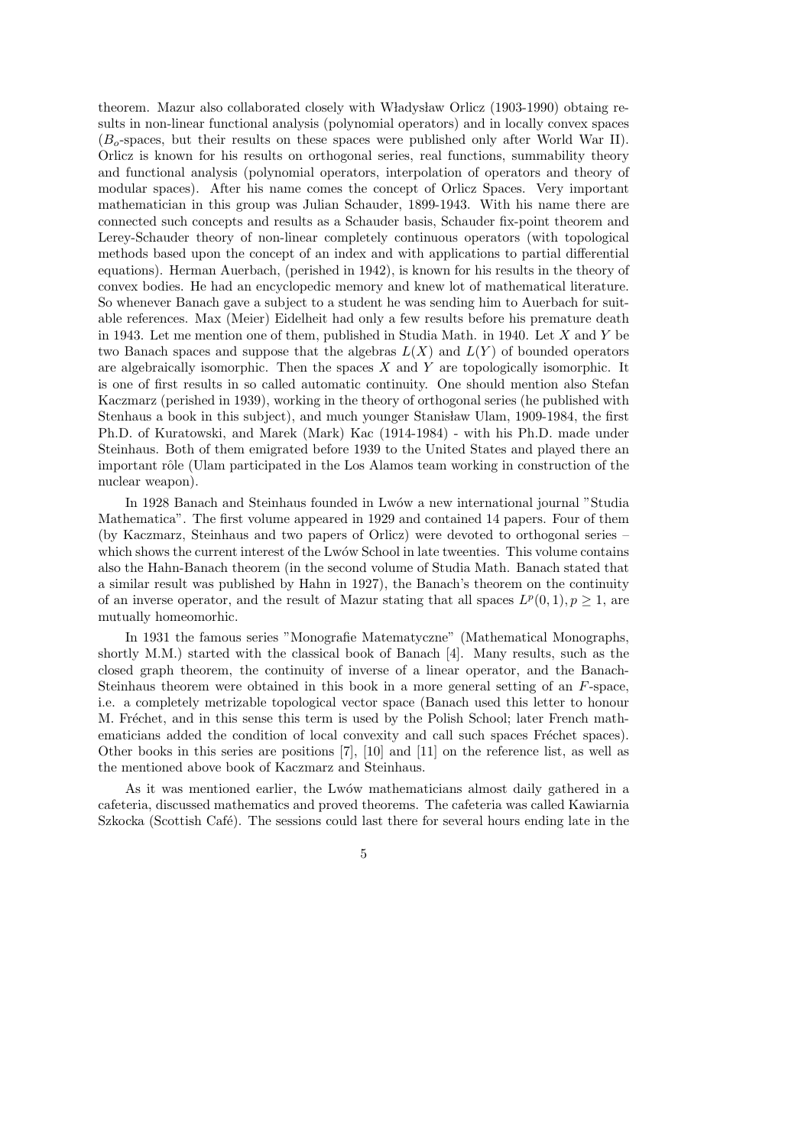theorem. Mazur also collaborated closely with Władysław Orlicz (1903-1990) obtaing results in non-linear functional analysis (polynomial operators) and in locally convex spaces  $(B<sub>o</sub>$ -spaces, but their results on these spaces were published only after World War II). Orlicz is known for his results on orthogonal series, real functions, summability theory and functional analysis (polynomial operators, interpolation of operators and theory of modular spaces). After his name comes the concept of Orlicz Spaces. Very important mathematician in this group was Julian Schauder, 1899-1943. With his name there are connected such concepts and results as a Schauder basis, Schauder fix-point theorem and Lerey-Schauder theory of non-linear completely continuous operators (with topological methods based upon the concept of an index and with applications to partial differential equations). Herman Auerbach, (perished in 1942), is known for his results in the theory of convex bodies. He had an encyclopedic memory and knew lot of mathematical literature. So whenever Banach gave a subject to a student he was sending him to Auerbach for suitable references. Max (Meier) Eidelheit had only a few results before his premature death in 1943. Let me mention one of them, published in Studia Math. in 1940. Let  $X$  and  $Y$  be two Banach spaces and suppose that the algebras  $L(X)$  and  $L(Y)$  of bounded operators are algebraically isomorphic. Then the spaces  $X$  and  $Y$  are topologically isomorphic. It is one of first results in so called automatic continuity. One should mention also Stefan Kaczmarz (perished in 1939), working in the theory of orthogonal series (he published with Stenhaus a book in this subject), and much younger Stanisław Ulam, 1909-1984, the first Ph.D. of Kuratowski, and Marek (Mark) Kac (1914-1984) - with his Ph.D. made under Steinhaus. Both of them emigrated before 1939 to the United States and played there an important rôle (Ulam participated in the Los Alamos team working in construction of the nuclear weapon).

In 1928 Banach and Steinhaus founded in Lwów a new international journal "Studia" Mathematica". The first volume appeared in 1929 and contained 14 papers. Four of them (by Kaczmarz, Steinhaus and two papers of Orlicz) were devoted to orthogonal series – which shows the current interest of the Lwów School in late tweenties. This volume contains also the Hahn-Banach theorem (in the second volume of Studia Math. Banach stated that a similar result was published by Hahn in 1927), the Banach's theorem on the continuity of an inverse operator, and the result of Mazur stating that all spaces  $L^p(0,1), p \geq 1$ , are mutually homeomorhic.

In 1931 the famous series "Monografie Matematyczne" (Mathematical Monographs, shortly M.M.) started with the classical book of Banach [4]. Many results, such as the closed graph theorem, the continuity of inverse of a linear operator, and the Banach-Steinhaus theorem were obtained in this book in a more general setting of an F-space, i.e. a completely metrizable topological vector space (Banach used this letter to honour M. Fréchet, and in this sense this term is used by the Polish School; later French mathematicians added the condition of local convexity and call such spaces Fréchet spaces). Other books in this series are positions [7], [10] and [11] on the reference list, as well as the mentioned above book of Kaczmarz and Steinhaus.

As it was mentioned earlier, the Lwów mathematicians almost daily gathered in a cafeteria, discussed mathematics and proved theorems. The cafeteria was called Kawiarnia Szkocka (Scottish Café). The sessions could last there for several hours ending late in the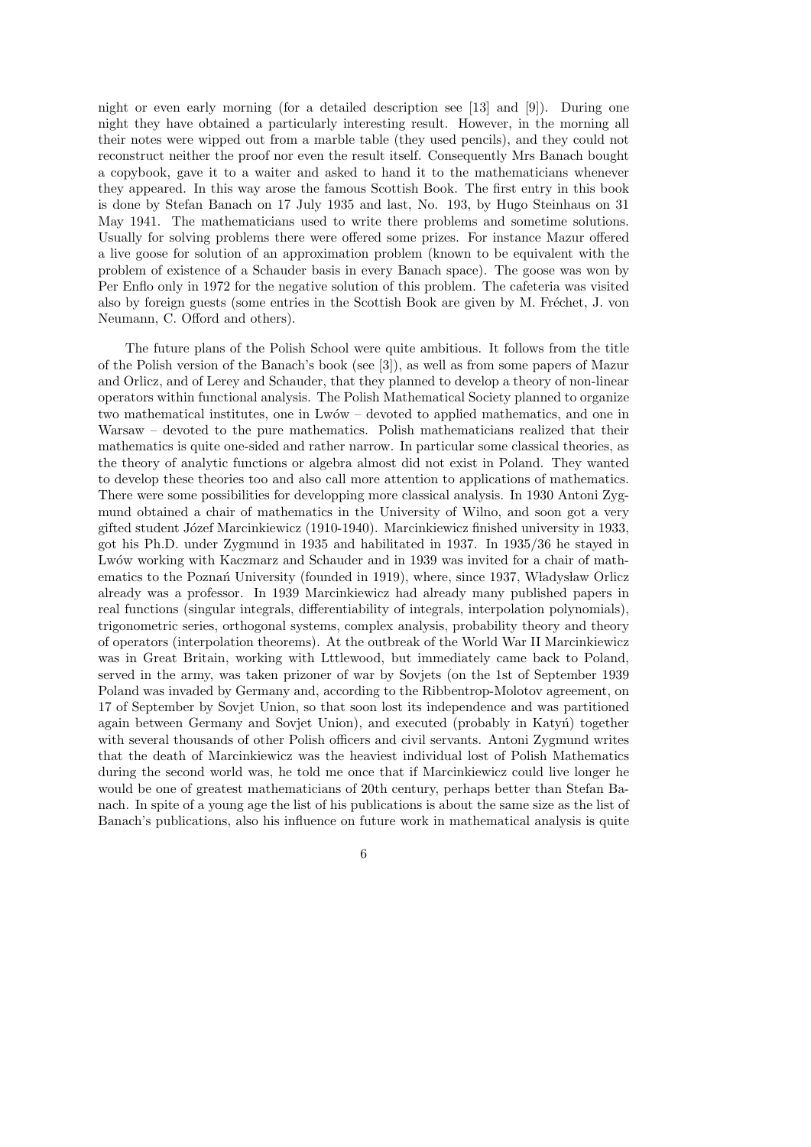night or even early morning (for a detailed description see [13] and [9]). During one night they have obtained a particularly interesting result. However, in the morning all their notes were wipped out from a marble table (they used pencils), and they could not reconstruct neither the proof nor even the result itself. Consequently Mrs Banach bought a copybook, gave it to a waiter and asked to hand it to the mathematicians whenever they appeared. In this way arose the famous Scottish Book. The first entry in this book is done by Stefan Banach on 17 July 1935 and last, No. 193, by Hugo Steinhaus on 31 May 1941. The mathematicians used to write there problems and sometime solutions. Usually for solving problems there were offered some prizes. For instance Mazur offered a live goose for solution of an approximation problem (known to be equivalent with the problem of existence of a Schauder basis in every Banach space). The goose was won by Per Enflo only in 1972 for the negative solution of this problem. The cafeteria was visited also by foreign guests (some entries in the Scottish Book are given by M. Fréchet, J. von Neumann, C. Offord and others).

The future plans of the Polish School were quite ambitious. It follows from the title of the Polish version of the Banach's book (see [3]), as well as from some papers of Mazur and Orlicz, and of Lerey and Schauder, that they planned to develop a theory of non-linear operators within functional analysis. The Polish Mathematical Society planned to organize two mathematical institutes, one in Lwów – devoted to applied mathematics, and one in Warsaw – devoted to the pure mathematics. Polish mathematicians realized that their mathematics is quite one-sided and rather narrow. In particular some classical theories, as the theory of analytic functions or algebra almost did not exist in Poland. They wanted to develop these theories too and also call more attention to applications of mathematics. There were some possibilities for developping more classical analysis. In 1930 Antoni Zygmund obtained a chair of mathematics in the University of Wilno, and soon got a very gifted student Józef Marcinkiewicz (1910-1940). Marcinkiewicz finished university in 1933, got his Ph.D. under Zygmund in 1935 and habilitated in 1937. In 1935/36 he stayed in Lwów working with Kaczmarz and Schauder and in 1939 was invited for a chair of mathematics to the Poznań University (founded in 1919), where, since 1937, Władysław Orlicz already was a professor. In 1939 Marcinkiewicz had already many published papers in real functions (singular integrals, differentiability of integrals, interpolation polynomials), trigonometric series, orthogonal systems, complex analysis, probability theory and theory of operators (interpolation theorems). At the outbreak of the World War II Marcinkiewicz was in Great Britain, working with Lttlewood, but immediately came back to Poland, served in the army, was taken prizoner of war by Sovjets (on the 1st of September 1939 Poland was invaded by Germany and, according to the Ribbentrop-Molotov agreement, on 17 of September by Sovjet Union, so that soon lost its independence and was partitioned again between Germany and Sovjet Union), and executed (probably in Katyn) together with several thousands of other Polish officers and civil servants. Antoni Zygmund writes that the death of Marcinkiewicz was the heaviest individual lost of Polish Mathematics during the second world was, he told me once that if Marcinkiewicz could live longer he would be one of greatest mathematicians of 20th century, perhaps better than Stefan Banach. In spite of a young age the list of his publications is about the same size as the list of Banach's publications, also his influence on future work in mathematical analysis is quite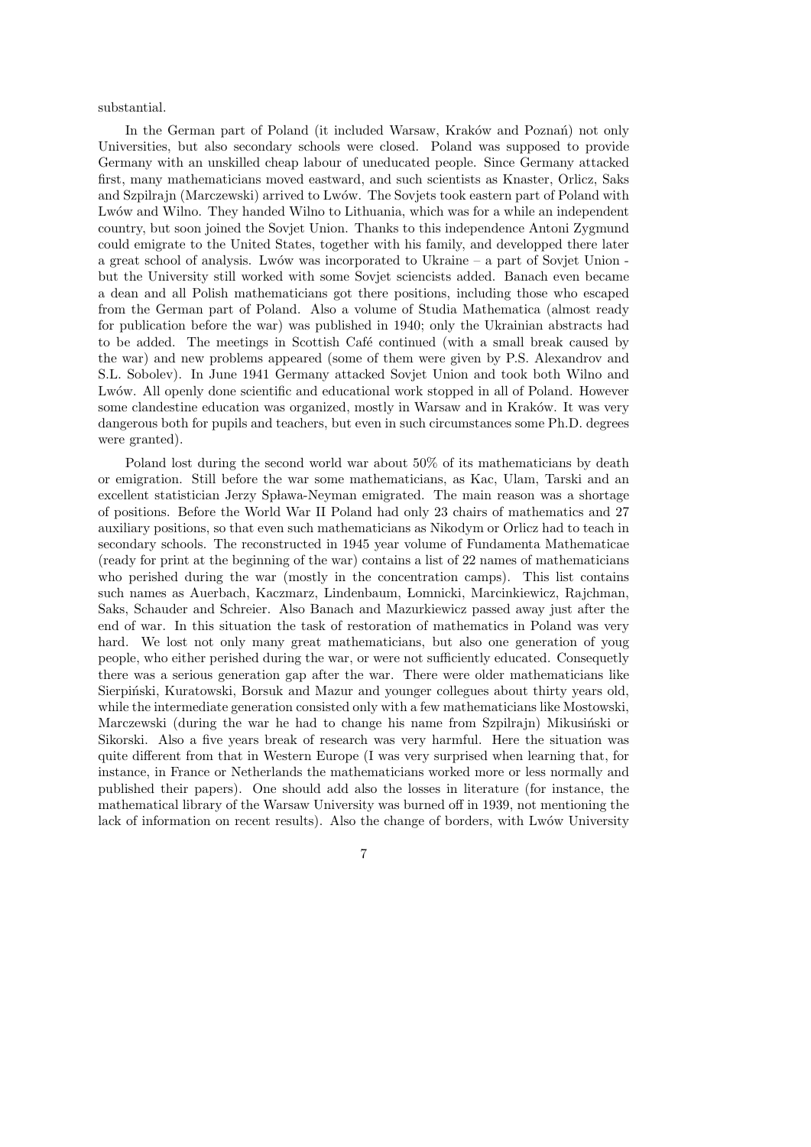substantial.

In the German part of Poland (it included Warsaw, Kraków and Poznań) not only Universities, but also secondary schools were closed. Poland was supposed to provide Germany with an unskilled cheap labour of uneducated people. Since Germany attacked first, many mathematicians moved eastward, and such scientists as Knaster, Orlicz, Saks and Szpilrajn (Marczewski) arrived to Lwów. The Sovjets took eastern part of Poland with Lwów and Wilno. They handed Wilno to Lithuania, which was for a while an independent country, but soon joined the Sovjet Union. Thanks to this independence Antoni Zygmund could emigrate to the United States, together with his family, and developped there later a great school of analysis. Lwów was incorporated to Ukraine  $-$  a part of Sovjet Union  $$ but the University still worked with some Sovjet sciencists added. Banach even became a dean and all Polish mathematicians got there positions, including those who escaped from the German part of Poland. Also a volume of Studia Mathematica (almost ready for publication before the war) was published in 1940; only the Ukrainian abstracts had to be added. The meetings in Scottish Café continued (with a small break caused by the war) and new problems appeared (some of them were given by P.S. Alexandrov and S.L. Sobolev). In June 1941 Germany attacked Sovjet Union and took both Wilno and Lwów. All openly done scientific and educational work stopped in all of Poland. However some clandestine education was organized, mostly in Warsaw and in Kraków. It was very dangerous both for pupils and teachers, but even in such circumstances some Ph.D. degrees were granted).

Poland lost during the second world war about 50% of its mathematicians by death or emigration. Still before the war some mathematicians, as Kac, Ulam, Tarski and an excellent statistician Jerzy Spława-Neyman emigrated. The main reason was a shortage of positions. Before the World War II Poland had only 23 chairs of mathematics and 27 auxiliary positions, so that even such mathematicians as Nikodym or Orlicz had to teach in secondary schools. The reconstructed in 1945 year volume of Fundamenta Mathematicae (ready for print at the beginning of the war) contains a list of 22 names of mathematicians who perished during the war (mostly in the concentration camps). This list contains such names as Auerbach, Kaczmarz, Lindenbaum, Lomnicki, Marcinkiewicz, Rajchman, Saks, Schauder and Schreier. Also Banach and Mazurkiewicz passed away just after the end of war. In this situation the task of restoration of mathematics in Poland was very hard. We lost not only many great mathematicians, but also one generation of youg people, who either perished during the war, or were not sufficiently educated. Consequetly there was a serious generation gap after the war. There were older mathematicians like Sierpiński, Kuratowski, Borsuk and Mazur and younger collegues about thirty years old, while the intermediate generation consisted only with a few mathematicians like Mostowski, Marczewski (during the war he had to change his name from Szpilrajn) Mikusiński or Sikorski. Also a five years break of research was very harmful. Here the situation was quite different from that in Western Europe (I was very surprised when learning that, for instance, in France or Netherlands the mathematicians worked more or less normally and published their papers). One should add also the losses in literature (for instance, the mathematical library of the Warsaw University was burned off in 1939, not mentioning the lack of information on recent results). Also the change of borders, with Lwów University